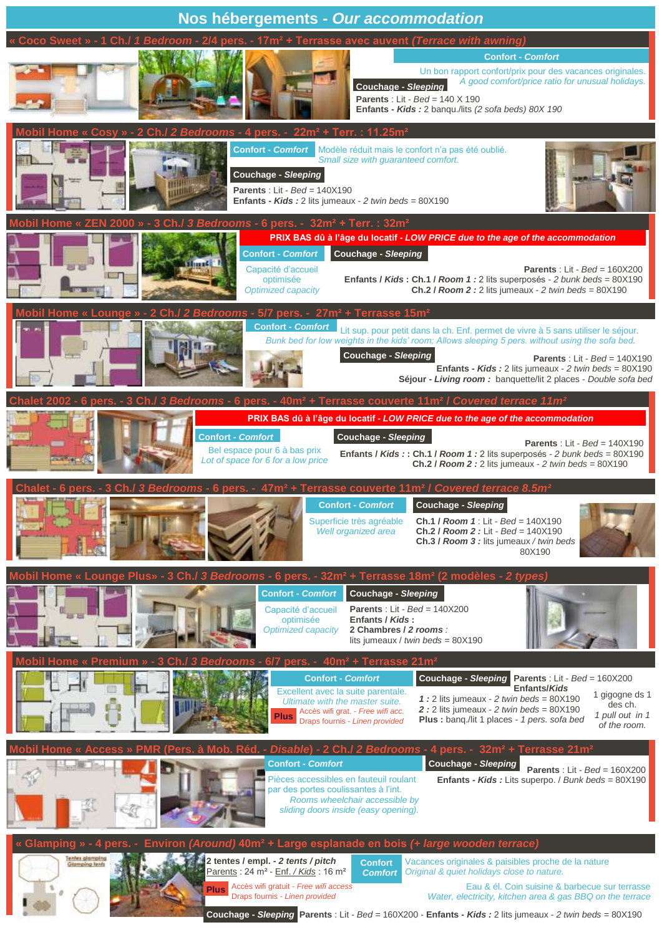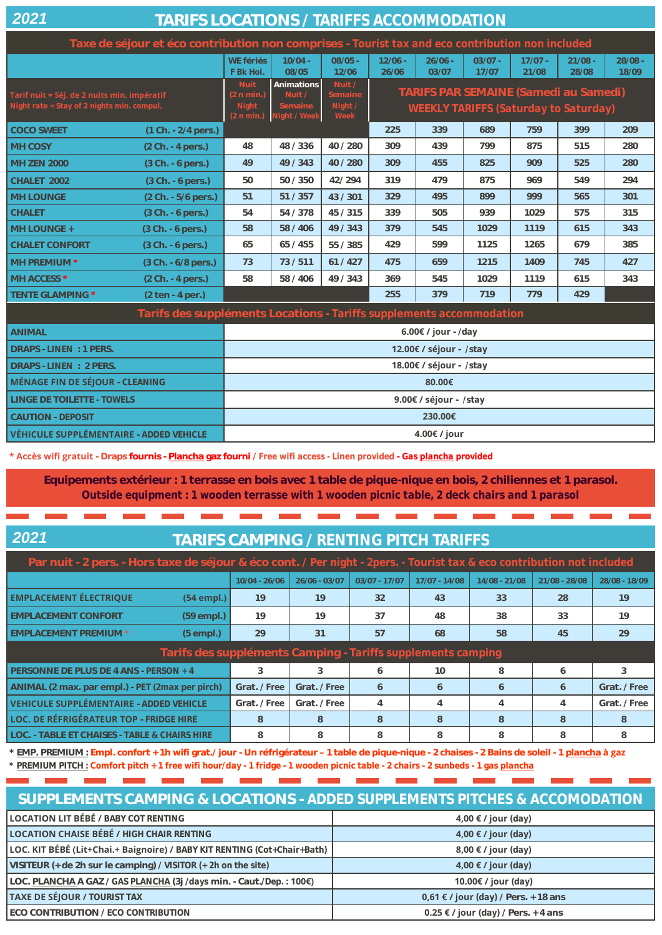| 202 |  |  |
|-----|--|--|
|     |  |  |

## **TARIFS LOCATIONS /** *TARIFFS ACCOMMODATION*

|                                                                                           | Taxe de séjour et éco contribution non comprises - Tourist tax and eco contribution non included |                                                  |                                                 |                                      |                    |                    |                    |                    |                                                                                              |                    |
|-------------------------------------------------------------------------------------------|--------------------------------------------------------------------------------------------------|--------------------------------------------------|-------------------------------------------------|--------------------------------------|--------------------|--------------------|--------------------|--------------------|----------------------------------------------------------------------------------------------|--------------------|
|                                                                                           |                                                                                                  | WE fériés<br>F Bk Hol.                           | $10/04 -$<br>08/05                              | $08/05 -$<br>12/06                   | $12/06 -$<br>26/06 | $26/06 -$<br>03/07 | $03/07 -$<br>17/07 | $17/07 -$<br>21/08 | $21/08 -$<br>28/08                                                                           | $28/08 -$<br>18/09 |
| Tarif nuit = Séj. de 2 nuits min. impératif<br>Night rate = Stay of 2 nights min. compul. |                                                                                                  | <b>Nuit</b><br>(2 n min.)<br>Night<br>(2 n min.) | Animations<br>Nuit /<br>Semaine<br>Night / Week | Nuit /<br>Semaine<br>Night /<br>Week |                    |                    |                    |                    | <b>TARIFS PAR SEMAINE (Samedi au Samedi)</b><br><b>WEEKLY TARIFFS (Saturday to Saturday)</b> |                    |
| <b>COCO SWEET</b>                                                                         | (1 Ch. - 2/4 pers.)                                                                              |                                                  |                                                 |                                      | 225                | 339                | 689                | 759                | 399                                                                                          | 209                |
| <b>MH COSY</b>                                                                            | (2 Ch. - 4 pers.)                                                                                | 48                                               | 48 / 336                                        | 40 / 280                             | 309                | 439                | 799                | 875                | 515                                                                                          | 280                |
| <b>MH ZEN 2000</b>                                                                        | $(3 Ch. - 6 pers.)$                                                                              | 49                                               | 49 / 343                                        | 40/280                               | 309                | 455                | 825                | 909                | 525                                                                                          | 280                |
| CHALET 2002                                                                               | (3 Ch. - 6 pers.)                                                                                | 50                                               | 50 / 350                                        | 42/294                               | 319                | 479                | 875                | 969                | 549                                                                                          | 294                |
| <b>MH LOUNGE</b>                                                                          | (2 Ch. - 5/6 pers.)                                                                              | 51                                               | 51 / 357                                        | 43/301                               | 329                | 495                | 899                | 999                | 565                                                                                          | 301                |
| <b>CHALET</b>                                                                             | (3 Ch. - 6 pers.)                                                                                | 54                                               | 54 / 378                                        | 45 / 315                             | 339                | 505                | 939                | 1029               | 575                                                                                          | 315                |
| MH LOUNGE +                                                                               | (3 Ch. - 6 pers.)                                                                                | 58                                               | 58 / 406                                        | 49/343                               | 379                | 545                | 1029               | 1119               | 615                                                                                          | 343                |
| <b>CHALET CONFORT</b>                                                                     | (3 Ch. - 6 pers.)                                                                                | 65                                               | 65 / 455                                        | 55 / 385                             | 429                | 599                | 1125               | 1265               | 679                                                                                          | 385                |
| MH PREMIUM *                                                                              | (3 Ch. - 6/8 pers.)                                                                              | 73                                               | 73/511                                          | 61/427                               | 475                | 659                | 1215               | 1409               | 745                                                                                          | 427                |
| MH ACCESS *                                                                               | (2 Ch. - 4 pers.)                                                                                | 58                                               | 58 / 406                                        | 49 / 343                             | 369                | 545                | 1029               | 1119               | 615                                                                                          | 343                |
| TENTE GLAMPING *                                                                          | $(2 \text{ten} - 4 \text{per})$                                                                  |                                                  |                                                 |                                      | 255                | 379                | 719                | 779                | 429                                                                                          |                    |
|                                                                                           | Tarifs des suppléments Locations - Tariffs supplements accommodation                             |                                                  |                                                 |                                      |                    |                    |                    |                    |                                                                                              |                    |
| <b>ANIMAL</b>                                                                             |                                                                                                  | 6.00€ / jour - /day                              |                                                 |                                      |                    |                    |                    |                    |                                                                                              |                    |
| DRAPS - LINEN: 1 PERS.                                                                    | 12.00€ / séjour - /stay                                                                          |                                                  |                                                 |                                      |                    |                    |                    |                    |                                                                                              |                    |
| DRAPS - LINEN : 2 PERS.                                                                   | 18.00€ / séjour - /stay                                                                          |                                                  |                                                 |                                      |                    |                    |                    |                    |                                                                                              |                    |
| <b>MÉNAGE FIN DE SÉJOUR - CLEANING</b>                                                    |                                                                                                  | 80.00€                                           |                                                 |                                      |                    |                    |                    |                    |                                                                                              |                    |
| LINGE DE TOILETTE - TOWELS                                                                |                                                                                                  | 9.00€ / séjour - /stay                           |                                                 |                                      |                    |                    |                    |                    |                                                                                              |                    |
| <b>CAUTION - DEPOSIT</b>                                                                  |                                                                                                  | 230.00€                                          |                                                 |                                      |                    |                    |                    |                    |                                                                                              |                    |
| VÉHICULE SUPPLÉMENTAIRE - ADDED VEHICLE                                                   |                                                                                                  | 4.00€ / jour                                     |                                                 |                                      |                    |                    |                    |                    |                                                                                              |                    |

**\* Accès wifi gratuit - Draps fournis - Plancha gaz fourni /** *Free wifi access - Linen provided - Gas plancha provided*

**Equipements extérieur : 1 terrasse en bois avec 1 table de pique-nique en bois, 2 chiliennes et 1 parasol.**  *Outside equipment : 1 wooden terrasse with 1 wooden picnic table, 2 deck chairs and 1 parasol*

## **TARIFS CAMPING /** *RENTING PITCH TARIFFS*

| Par nuit - 2 pers. - Hors taxe de séjour & éco cont. / Per night - 2pers. - Tourist tax & eco contribution not included |                 |                 |                 |                 |                 |               |               |
|-------------------------------------------------------------------------------------------------------------------------|-----------------|-----------------|-----------------|-----------------|-----------------|---------------|---------------|
|                                                                                                                         | $10/04 - 26/06$ | $26/06 - 03/07$ | $03/07 - 17/07$ | $17/07 - 14/08$ | $14/08 - 21/08$ | 21/08 - 28/08 | 28/08 - 18/09 |
| <b>EMPLACEMENT ÉLECTRIQUE</b><br>$(54$ empl.)                                                                           | 19              | 19              | 32              | 43              | 33              | 28            | 19            |
| <b>EMPLACEMENT CONFORT</b><br>$(59$ empl.)                                                                              | 19              | 19              | 37              | 48              | 38              | 33            | 19            |
| <b>EMPLACEMENT PREMIUM *</b><br>$(5$ empl.)                                                                             | 29              | 31              | 57              | 68              | 58              | 45            | 29            |
| Tarifs des suppléments Camping - Tariffs supplements camping                                                            |                 |                 |                 |                 |                 |               |               |
| PERSONNE DE PLUS DE 4 ANS - PERSON + 4                                                                                  | 3               | 3               | 6               | 10              | 8               | 6             | 3             |
| ANIMAL (2 max. par empl.) - PET (2max per pirch)                                                                        | Grat. / Free    | Grat. / Free    | 6               | 6               | 6               | 6             | Grat. / Free  |
| <b>VEHICULE SUPPLÉMENTAIRE - ADDED VEHICLE</b>                                                                          | Grat. / Free    | Grat. / Free    | $\overline{4}$  | $\overline{4}$  |                 | 4             | Grat. / Free  |
| LOC. DE RÉFRIGÉRATEUR TOP - FRIDGE HIRE                                                                                 | 8               | 8               | 8               | 8               | 8               | 8             | 8             |
| LOC. - TABLE ET CHAISES - TABLE & CHAIRS HIRE                                                                           | 8               | 8               | 8               | 8               | 8               | 8             | 8             |

**\* EMP. PREMIUM : Empl. confort + 1h wifi grat./ jour - Un réfrigérateur – 1 table de pique-nique - 2 chaises - 2 Bains de soleil - 1 plancha à gaz** *\* PREMIUM PITCH : Comfort pitch + 1 free wifi hour/day - 1 fridge - 1 wooden picnic table - 2 chairs - 2 sunbeds - 1 gas plancha*

| SUPPLEMENTS CAMPING & LOCATIONS - ADDED SUPPLEMENTS PITCHES & ACCOMODATION |                                             |  |  |  |
|----------------------------------------------------------------------------|---------------------------------------------|--|--|--|
| <b>LOCATION LIT BÉBÉ / BABY COT RENTING</b>                                | 4,00 $\epsilon$ / jour (day)                |  |  |  |
| <b>LOCATION CHAISE BÉBÉ / HIGH CHAIR RENTING</b>                           | 4,00 $\epsilon$ / jour (day)                |  |  |  |
| LOC. KIT BÉBÉ (Lit+Chai.+ Baignoire) / BABY KIT RENTING (Cot+Chair+Bath)   | 8,00 $\epsilon$ / jour (day)                |  |  |  |
| VISITEUR (+ de 2h sur le camping) / VISITOR $(+ 2h$ on the site)           | 4,00 $\epsilon$ / jour (day)                |  |  |  |
| LOC. PLANCHA A GAZ / GAS PLANCHA (3j / days min. - Caut./Dep.: 100€)       | 10.00€ / jour $\langle day \rangle$         |  |  |  |
| <b>TAXE DE SÉJOUR / TOURIST TAX</b>                                        | <b>0,61 € / jour</b> (day) / Pers. + 18 ans |  |  |  |
| ECO CONTRIBUTION / ECO CONTRIBUTION                                        | <b>0.25 € / jour</b> (day) / Pers. + 4 ans  |  |  |  |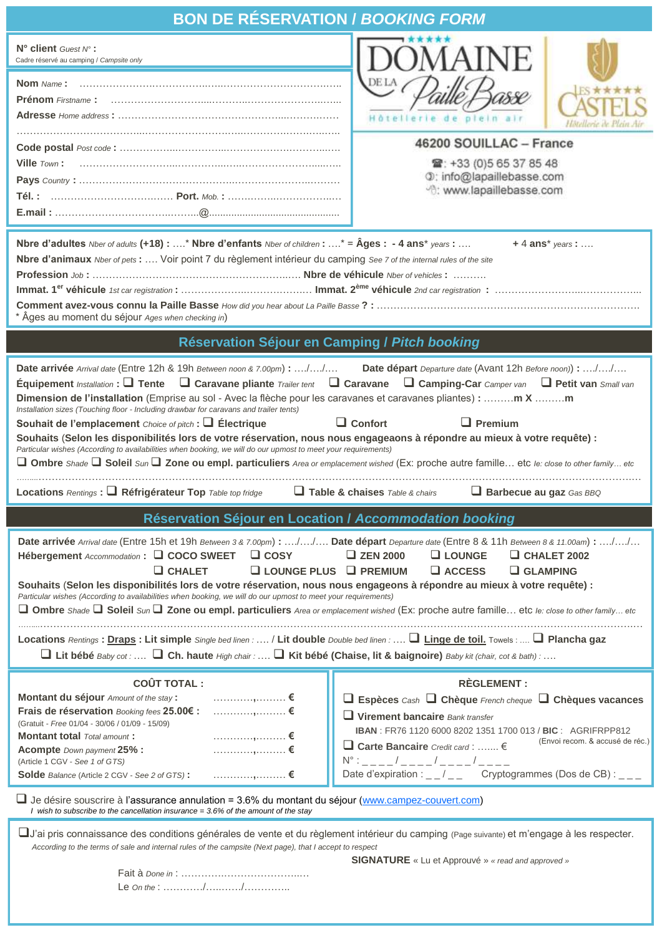| <b>BON DE RÉSERVATION / BOOKING FORM</b>                                                                                                                                                                                                     |                                                                                                                           |  |  |  |
|----------------------------------------------------------------------------------------------------------------------------------------------------------------------------------------------------------------------------------------------|---------------------------------------------------------------------------------------------------------------------------|--|--|--|
| N° client Guest N°:<br>Cadre réservé au camping / Campsite only                                                                                                                                                                              |                                                                                                                           |  |  |  |
| <b>Nom</b> Name:                                                                                                                                                                                                                             | <b>DELA</b><br>Hôtellerie de pieln                                                                                        |  |  |  |
|                                                                                                                                                                                                                                              | 46200 SOUILLAC - France<br>雷: +33 (0) 5 65 37 85 48<br>0: info@lapaillebasse.com<br><sup>-</sup> 0: www.lapaillebasse.com |  |  |  |
| Nbre d'adultes <i>Nber of adults</i> (+18) : * Nbre d'enfants <i>Nber of children</i> : * = Âges : - 4 ans* years :<br>Nbre d'animaux Nber of pets :  Voir point 7 du règlement intérieur du camping See 7 of the internal rules of the site | $+4$ ans* years :                                                                                                         |  |  |  |
| * Âges au moment du séjour Ages when checking in)                                                                                                                                                                                            |                                                                                                                           |  |  |  |
| Réservation Séjour en Camping / Pitch booking                                                                                                                                                                                                |                                                                                                                           |  |  |  |

**Locations** *Rentings* **: Réfrigérateur Top** *Table top fridge* **Table & chaises** *Table & chairs* **Barbecue au gaz** *Gas BBQ*

**Réservation Séjour en Location /** *Accommodation booking*

| Date arrivée Arrival date (Entre 15h et 19h Between 3 & 7.00pm): // Date départ Departure date (Entre 8 & 11h Between 8 & 11.00am): //<br>Hébergement Accommodation : □ COCO SWEET □ COSY<br>$\Box$ CHALET<br>$\Box$ LOUNGE PLUS $\Box$ PREMIUM<br>Souhaits (Selon les disponibilités lors de votre réservation, nous nous engageons à répondre au mieux à votre requête) :<br>Particular wishes (According to availabilities when booking, we will do our upmost to meet your requirements)<br>□ Ombre Shade □ Soleil Sun □ Zone ou empl. particuliers Area or emplacement wished (Ex: proche autre famille etc le: close to other family etc<br>Locations Rentings : Draps : Lit simple Single bed linen :  / Lit double Double bed linen :  I Linge de toil. Towels :  I Plancha gaz<br>$\Box$ Lit bébé Baby cot : $\Box$ Ch. haute High chair : $\Box$ Kit bébé (Chaise, lit & baignoire) Baby kit (chair, cot & bath) : | $\Box$ ZEN 2000<br>$\Box$ CHALET 2002<br>$\Box$ LOUNGE<br>$\Box$ ACCESS<br>$\Box$ GLAMPING                                                                                                                                                                                                                                                                     |
|------------------------------------------------------------------------------------------------------------------------------------------------------------------------------------------------------------------------------------------------------------------------------------------------------------------------------------------------------------------------------------------------------------------------------------------------------------------------------------------------------------------------------------------------------------------------------------------------------------------------------------------------------------------------------------------------------------------------------------------------------------------------------------------------------------------------------------------------------------------------------------------------------------------------------|----------------------------------------------------------------------------------------------------------------------------------------------------------------------------------------------------------------------------------------------------------------------------------------------------------------------------------------------------------------|
| <b>COÛT TOTAL:</b><br>Montant du séjour Amount of the stay:<br>Frais de réservation Booking fees 25.00€ :<br>……………,……… €<br>(Gratuit - Free 01/04 - 30/06 / 01/09 - 15/09)<br>_______________________€<br><b>Montant total</b> Total amount:<br><b>Acompte</b> Down payment 25% :<br>(Article 1 CGV - See 1 of GTS)<br><b>Solde</b> Balance (Article 2 CGV - See 2 of GTS):<br>$\Box$ Je désire souscrire à l'assurance annulation = 3.6% du montant du séjour (www.campez-couvert.com)                                                                                                                                                                                                                                                                                                                                                                                                                                      | <b>RÈGLEMENT:</b><br>$\Box$ Espèces Cash $\Box$ Chèque French cheque $\Box$ Chèques vacances<br>$\Box$ Virement bancaire Bank transfer<br><b>IBAN</b> : FR76 1120 6000 8202 1351 1700 013 / BIC: AGRIFRPP812<br>(Envoi recom. & accusé de réc.)<br>□ Carte Bancaire Credit card : $\epsilon$<br>Date d'expiration : _ _/ _ _ Cryptogrammes (Dos de CB) : _ _ _ |

 *I wish to subscribe to the cancellation insurance = 3.6% of the amount of the stay* 

J'ai pris connaissance des conditions générales de vente et du règlement intérieur du camping (Page suivante) et m'engage à les respecter. *According to the terms of sale and internal rules of the campsite (Next page), that I accept to respect*

**SIGNATURE** « Lu et Approuvé » *« read and approved »*

Fait à *Done in* : ………….…………………..… Le *On the* : …………/…..……/…………..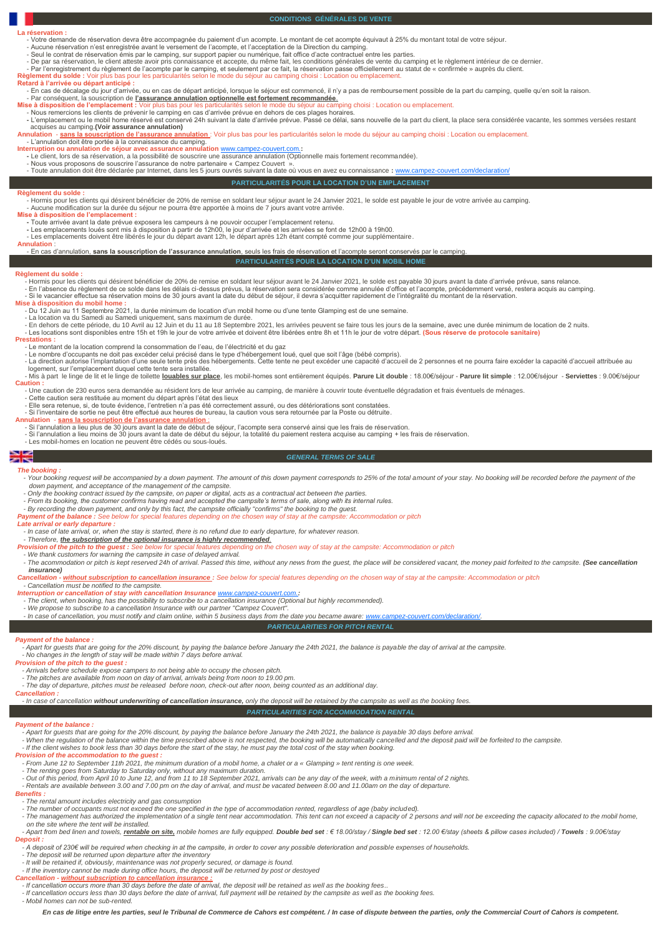## **La réservation**

**CONDITIONS GÉNÉRALES DE VENTE**

- Votre demande de réservation devra être accompagnée du paiement d'un acompte. Le montant de cet acompte équivaut à 25% du montant total de votre séjour.<br>- Aucune réservation n'est enregistrée avant le versement de l'acom

**Règlement du solde :** Voir plus bas pour les particularités selon le mode du séjour au camping choisi : Location ou emplacement.<br>**Retard à l'arrivée ou départ anticipé :**<br>- En cas de décalage du jour d'arrivée, ou en cas

- Par conséquent, la souscription de l'assurance annulation optionnelle est fortement recommandée.<br>Mise à disposition de l'emplacement : Voir plus bas pour les particularités selon le mode du séjour au camping choisi : Loc

**se à disposition de l'emplacement** : Voir plus bas pour les particularités selon le mode du séjour au camping q<br>- Nous remercions les clients de prévenir le camping en cas d'arrivée prévue en dehors de ces plages horaires

**-** L'emplacement ou le mobil home réservé est conservé 24h suivant la date d'arrivée prévue. Passé ce délai, sans nouvelle de la part du client, la place sera considérée vacante, les sommes versées restant

**PARTICULARITÉS POUR LA LOCATION D'UN EMPLACEMENT**

 acquises au camping.**(Voir assurance annulation) Annulation** - **sans la souscription de l'assurance annulation** : Voir plus bas pour les particularités selon le mode du séjour au camping choisi : Location ou emplacement.

- L'annulation doit être portée à la connaissance du camping. **Interruption ou annulation de séjour avec assurance annulation** [www.campez-couvert.com.](http://www.campez-couvert.com)**:**

**-** Le client, lors de sa réservation, a la possibilité de souscrire une assurance annulation (Optionnelle mais fortement recommandée).

- Nous vous proposons de souscrire l'assurance de notre partenaire « Campez Couvert ».<br>- Toute annulation doit être déclarée par Internet, dans les 5 jours ouvrés suivant la date où vous en avez eu connaissance : <u>www.camp</u>

**Règlement du solde :** 

- Hormis pour les clients qui désirent bénéficier de 20% de remise en soldant leur séjour avant le 24 Janvier 2021, le solde est payable le jour de votre arrivée au camping.<br>- Aucune modification sur la durée du séjour ne

**-** Toute arrivée avant la date prévue exposera les campeurs à ne pouvoir occuper l'emplacement retenu.

- Les emplacements loués sont mis à disposition à partir de 12h00, le jour d'arrivée et les arrivées se font de 12h00 à 19h00.<br>- Les emplacements doivent être libérés le jour du départ avant 12h, le départ après 12h étant

## **Annulation** :

**PARTICULARITÉS POUR LA LOCATION D'UN MOBIL HOME** - En cas d'annulation, **sans la souscription de l'assurance annulation**, seuls les frais de réservation et l'acompte seront conservés par le camping.

## **Règlement du solde :**

- Hormis pour les clients qui désirent bénéficier de 20% de remise en soldant leur séjour avant le 24 Janvier 2021, le solde est payable 30 jours avant la date d'arrivée prévue, sans relance. - En l'absence du règlement de ce solde dans les délais ci-dessus prévus, la réservation sera considérée comme annulée d'office et l'acompte, précédemment versé, restera acquis au camping.<br>- Si le vacancier effectue sa rés

- **Mise à disposition du mobil home :**
	- Du 12 Juin au 11 Septembre 2021, la durée minimum de location d'un mobil home ou d'une tente Glamping est de une semaine.<br>- La location va du Samedi au Samedi uniquement, sans maximum de durée.

- En dehors de cette période, du 10 Avril au 12 Juin et du 11 au 18 Septembre 2021, les arrivées peuvent se faire tous les jours de la semaine, avec une durée minimum de location de 2 nuits.<br>- Les locations sont disponible

## **Prestations :**

- Le montant de la location comprend la consommation de l'eau, de l'électricité et du gaz<br>- Le nombre d'occupants ne doit pas excéder celui précisé dans le type d'hébergement loué, quel que soit l'âge<br>- La direction autor logement, sur l'emplacement duquel cette tente sera installée.<br>- Mis à part le linge de lit et le linge de toilette <mark>louables sur place</mark>, les mobil-homes sont entièrement équipés. **Parure Lit double** : 18.00€/séjour - **Pa** 

**Caution :** - Une caution de 230 euros sera demandée au résident lors de leur arrivée au camping, de manière à couvrir toute éventuelle dégradation et frais éventuels de ménages.

- 
- Cette caution sera restituée au moment du départ après l'état des lieux<br>- Elle sera retenue, si, de toute évidence, l'entretien n'a pas été correctement assuré, ou des détériorations sont constatées.<br>- Si l'inventaire de

<mark>Annulation - <u>sans la souscription de l'assurance annulation :</u><br>19 - Si l'annulation a lieu plus de 30 jours avant la date de début de séjour, l'acompte sera conservé ainsi que les frais de réservation.<br>19 - Si l'annula</mark>

- Les mobil-homes en location ne peuvent être cédés ou sous-loués.

## 꽃

## *GENERAL TERMS OF SALE*

## *The booking :*

- Your booking request will be accompanied by a down payment. The amount of this down payment corresponds to 25% of the total amount of your stay. No booking will be recorded before the payment of the  *down payment, and acceptance of the management of the campsite.* 

- Only the booking contract issued by the campsite, on paper or digital, acts as a contractual act between the parties.<br>- From its booking, the customer confirms having read and accepted the campsite's terms of sale, along

- 
- *Payment of the balance : See below for special features depending on the chosen way of stay at the campsite: Accommodation or pitch*

## *Late arrival or early departure :*

*- In case of late arrival, or, when the stay is started, there is no refund due to early departure, for whatever reason.*

- *- Therefore, the subscription of the optional insurance is highly recommended.*
- Provision of the pitch to the guest : See below for special features depending on the chosen way of stay at the campsite: Accommodation or pitch<br>- We thank customers for warning the campsite in case of delayed arrival.

- The acommodation or pitch is kept reserved 24h of arrival. Passed this time, without any news from the quest, the place will be considered vacant, the monev paid forfeited to the camnsite. (See cancellation

 *insurance) Cancellation - without subscription to cancellation insurance : See below for special features depending on the chosen way of stay at the campsite: Accommodation or pitch*

*- Cancellation must be notified to the campsite. Interruption or cancellation of stay with cancellation Insurance [www.campez-couvert.com.](http://www.campez-couvert.com):*

- The client, when booking, has the possibility to subscribe to a cancellation insurance (Optional but highly recommended).<br>- We propose to subscribe to a cancellation Insurance with our partner "Campez Couvert".

*- In case of cancellation, you must notify and claim online, within 5 business days from the date you became aware: [www.campez-couvert.com/declaration/.](http://en.campez-couvert.com/declaration/)* 

## *PARTICULARITIES FOR PITCH RENTAL*

## *Payment of the balance :*

- *- Apart for guests that are going for the 20% discount, by paying the balance before January the 24th 2021, the balance is payable the day of arrival at the campsite.*
- *- No changes in the length of stay will be made within 7 days before arrival.*
- 
- *Provision of the pitch to the guest : - Arrivals before schedule expose campers to not being able to occupy the chosen pitch.*
- 

- The pitches are available from noon on day of arrival, arrivals being from noon to 19.00 pm.<br>- The day of departure, pitches must be released before noon, check-out after noon, being counted as an additional day.

## *Cancellation :*

## *- In case of cancellation without underwriting of cancellation insurance, only the deposit will be retained by the campsite as well as the booking fees. PARTICULARITIES FOR ACCOMMODATION RENTAL*

## *Payment of the balance :*

- *- Apart for guests that are going for the 20% discount, by paying the balance before January the 24th 2021, the balance is payable 30 days before arrival.*
- When the regulation of the balance within the time prescribed above is not respected, the booking will be automatically cancelled and the deposit paid will be forfeited to the campsite.<br>- If the client wishes to book les

- *Provision of the accommodation to the guest : - From June 12 to September 11th 2021, the minimum duration of a mobil home, a chalet or a « Glamping » tent renting is one week.*
- 
- The renting goes from Saturday to Saturday only, without any maximum duration.<br>- Out of this period, from April 10 to June 12, and from 11 to 18 September 2021, arrivals can be any day of the<br>- Rentals are available betw
- 

## *Benefits :*

- *- The rental amount includes electricity and gas consumption*
- 
- The number of occupants must not exceed the one specified in the type of accommodation rented, regardless of age (baby included).<br>- The management has authorized the implementation of a single tent near accommodation. Th  *on the site where the tent will be installed.*
- sn www.www.wallexamental.com/secured.com/secured.com/secured.by/and/secured.com/secured.com/secured.com/secured.com/secured.com/secured/internation/secured/ / Towels : 9.00€/stay (sheets & pillow cases included) / Towels *Deposit :*
- *- A deposit of 230€ will be required when checking in at the campsite, in order to cover any possible deterioration and possible expenses of households.*
- *- The deposit will be returned upon departure after the inventory*
- It will be retained if, obviously, maintenance was not properly secured, or damage is found.<br>- If the inventory cannot be made during office hours, the deposit will be returned by post or destoyed
- 
- *Cancellation - without subscription to cancellation insurance :*
- *- If cancellation occurs more than 30 days before the date of arrival, the deposit will be retained as well as the booking fees.. - If cancellation occurs less than 30 days before the date of arrival, full payment will be retained by the campsite as well as the booking fees.*
- *- Mobil homes can not be sub-rented.*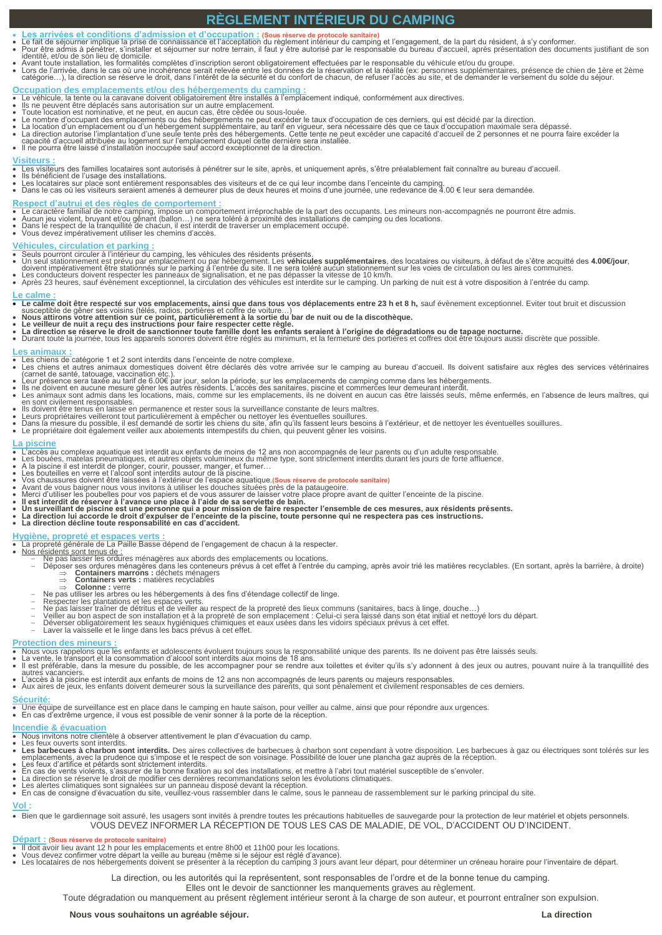## **RÈGLEMENT INTÉRIEUR DU CAMPING**

- 
- Les arrivées et conditions d'admission et d'occupation : (Sous réserve de protocole sanitaire)<br>
Le fait de sépurner implique la prise de connaissance et l'acceptation du règlement intérieur du camping et l'engagement, de l
- 
- 

- 
- 
- 
- **Occupation des emplacements et/ou des hébergements du camping :**<br>• Le véhicule, la tente ou la caravane doivent obligatoirement être installés à l'emplacement indiqué, conformément aux directives.<br>• Ils ne peuvent être d
- Il ne pourra être laissé d'installation inoccupée sauf accord exceptionnel de la direction.

- <mark>Visiteurs :</mark><br>● Les visiteurs des familles locataires sont autorisés à pénétrer sur le site, après, et uniquement après, s'être préalablement fait connaître au bureau d'accueil.
- 
- Ils bénéficient de l'usage des installations.<br>● Les locataires sur place sont entièrement responsables des visiteurs et de ce qui leur incombe dans l'enceinte du camping.<br>● Dans le cas où les visiteurs seraient amenés à

- Respect d'autrui et des règles de comportement :<br>• Le caractère familial de notre camping, impose un comportement irréprochable de la part des occupants. Les mineurs non-accompagnés ne pourront être admis.<br>• Aucun jeu viol
- 
- 

## **Véhicules, circulation et parking :**

- 
- Seuls pourront circuler à l'intérieur du camping, les véhicules des résidents présents.<br>• Un seul stationnement est prévu par emplacement ou par hébergement. Les **véhicules supplémentaires**, des locataires ou visiteurs,
- 

## **Le calme :**

- Le calme doit être respecté sur vos emplacements, ainsi que dans tous vos déplacements entre 23 h et 8 h, sauf évènement exceptionnel. Eviter tout bruit et discussion<br>susceptible de gêner ses voisins (télés, radios, por
- 
- 
- 

## **Les animaux :**

- 
- Les chiens de catégorie 1 et 2 sont interdits dans l'enceinte de notre complexe.<br>• Les chiens et autres animaux domestiques doivent être déclarés dès votre arrivée sur le camping au bureau d'accueil. Ils doivent satisfa
- 
- 
- 
- Ils doivent être tenus en laisse en permanence et rester sous la surveillance constante de leurs maîtres.<br>● Leurs propriétaires veilleront tout particulièrement à empêcher ou nettoyer les éventuelles souillures.<br>● Dans
- 

# **La piscine**<br>• L'accès au<br>• Les bouée

- L'accès au complexe aquatique est interdit aux enfants de moins de 12 ans non accompagnés de leur parents ou d'un adulte responsable.<br>• Les bouées, matelas pneumatiques, et autres objets volumineux du même type, sont str
- 
- 
- 
- 
- 
- 
- Avant de vous baigner nous vous invitons à utiliser les douches situées près de la pataugeoire.<br>• Merci d'utiliser les poubelles pour vos papiers et de vous assurer de laisser votre place propre avant de quitter l'encei
- 
- 

- 
- 
- <del>Hygiène, propreté et espaces verts :</del><br>• La propreté générale de La Paille Basse dépend de l'engagement de chacun à la respecter.<br>• <u>Nos résidents sont tenus de :</u><br>• <u>Nos résidents sont tenus de :</u><br>• Comtainers marrons :
	- -
	-
	-
	-
	- Ne pas utiliser les arbres ou les hébergements à des fins d'étendage collectif de linge.<br>– Respecter les plantations et les espaces verts.<br>– Ne pas laisser traîner de détritus et de veiller au respect de la propreté des
	-
	-

## **Protection des mineurs :**

- 
- Nous vous rappelons que les enfants et adolescents évoluent toujours sous la responsabilité unique des parents. Ils ne doivent pas être laissés seuls.<br>• La vente, le transport et la consommation d'alcool sont interdits
- 
- **Sécurité:**
- Une équipe de surveillance est en place dans le camping en haute saison, pour veiller au calme, ainsi que pour répondre aux urgences.
- En cas d'extrême urgence, il vous est possible de venir sonner à la porte de la réception. **Incendie & évacuation**
- Nous invitons notre clientèle à observer attentivement le plan d'évacuation du camp.
- 
- Les feux ouverts sont interdits.<br>● Les barbecues à charbon sont interdits. Des aires collectives de barbecues à charbon sont cependant à votre disposition. Les barbecues à gaz ou électriques sont tolérés sur les<br>● empla
- En cas de vents violents, s'assurer de la bonne fixation au sol des installations, et mettre à l'abri tout matériel susceptible de s'envoler.<br>● La direction se réserve le droit de modifier ces dernières recommandations
- 
- 
- 

## **Vol :**

 Bien que le gardiennage soit assuré, les usagers sont invités à prendre toutes les précautions habituelles de sauvegarde pour la protection de leur matériel et objets personnels. VOUS DEVEZ INFORMER LA RÉCEPTION DE TOUS LES CAS DE MALADIE, DE VOL, D'ACCIDENT OU D'INCIDENT.

## **Départ : (Sous réserve de protocole sanitaire)**

- Il doit avoir lieu avant 12 h pour les emplacements et entre 8h00 et 11h00 pour les locations. Vous devez confirmer votre départ la veille au bureau (même si le séjour est réglé d'avance).
- Les locataires de nos hébergements doivent se présenter à la réception du camping 3 jours avant leur départ, pour déterminer un créneau horaire pour l'inventaire de départ.

La direction, ou les autorités qui la représentent, sont responsables de l'ordre et de la bonne tenue du camping.

Elles ont le devoir de sanctionner les manquements graves au règlement.

Toute dégradation ou manquement au présent règlement intérieur seront à la charge de son auteur, et pourront entraîner son expulsion.

**Nous vous souhaitons un agréable séjour. La direction**